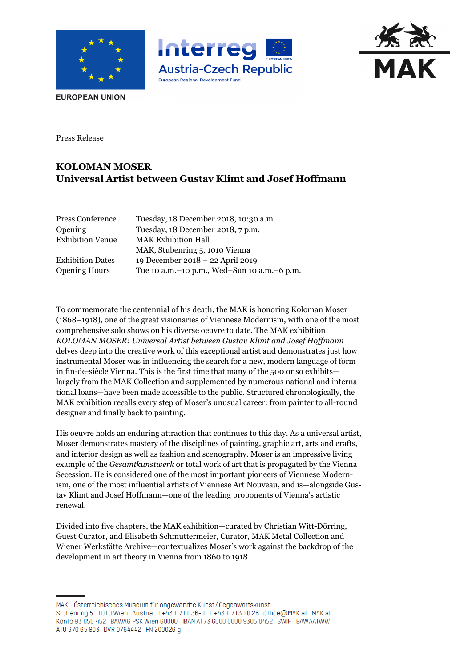





**EUROPEAN UNION** 

Press Release

## **KOLOMAN MOSER Universal Artist between Gustav Klimt and Josef Hoffmann**

| Press Conference        | Tuesday, 18 December 2018, 10:30 a.m.           |
|-------------------------|-------------------------------------------------|
| Opening                 | Tuesday, 18 December 2018, 7 p.m.               |
| <b>Exhibition Venue</b> | <b>MAK Exhibition Hall</b>                      |
|                         | MAK, Stubenring 5, 1010 Vienna                  |
| <b>Exhibition Dates</b> | 19 December 2018 - 22 April 2019                |
| <b>Opening Hours</b>    | Tue 10 a.m. - 10 p.m., Wed-Sun 10 a.m. - 6 p.m. |
|                         |                                                 |

To commemorate the centennial of his death, the MAK is honoring Koloman Moser (1868–1918), one of the great visionaries of Viennese Modernism, with one of the most comprehensive solo shows on his diverse oeuvre to date. The MAK exhibition *KOLOMAN MOSER: Universal Artist between Gustav Klimt and Josef Hoffmann* delves deep into the creative work of this exceptional artist and demonstrates just how instrumental Moser was in influencing the search for a new, modern language of form in fin-de-siècle Vienna. This is the first time that many of the 500 or so exhibits largely from the MAK Collection and supplemented by numerous national and international loans—have been made accessible to the public. Structured chronologically, the MAK exhibition recalls every step of Moser's unusual career: from painter to all-round designer and finally back to painting.

His oeuvre holds an enduring attraction that continues to this day. As a universal artist, Moser demonstrates mastery of the disciplines of painting, graphic art, arts and crafts, and interior design as well as fashion and scenography. Moser is an impressive living example of the *Gesamtkunstwerk* or total work of art that is propagated by the Vienna Secession. He is considered one of the most important pioneers of Viennese Modernism, one of the most influential artists of Viennese Art Nouveau, and is—alongside Gustav Klimt and Josef Hoffmann—one of the leading proponents of Vienna's artistic renewal.

Divided into five chapters, the MAK exhibition—curated by Christian Witt-Dörring, Guest Curator, and Elisabeth Schmuttermeier, Curator, MAK Metal Collection and Wiener Werkstätte Archive—contextualizes Moser's work against the backdrop of the development in art theory in Vienna from 1860 to 1918.

MAK – Österreichisches Museum für angewandte Kunst/Gegenwartskunst Stubenring 5 1010 Wien Austria T+43 1 711 36-0 F+43 1 713 10 26 office@MAK.at MAK.at Konto 93 050 452 BAWAG PSK Wien 60000 IBAN AT73 6000 0000 9305 0452 SWIFT BAWAATWW ATU 370 65 803 DVR 0764442 FN 200026 g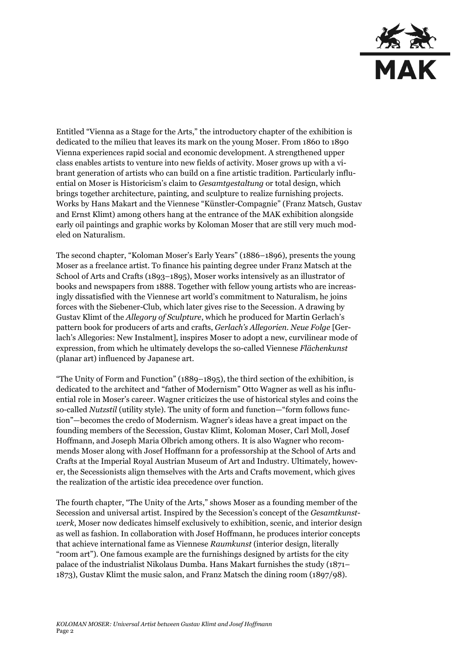

Entitled "Vienna as a Stage for the Arts," the introductory chapter of the exhibition is dedicated to the milieu that leaves its mark on the young Moser. From 1860 to 1890 Vienna experiences rapid social and economic development. A strengthened upper class enables artists to venture into new fields of activity. Moser grows up with a vibrant generation of artists who can build on a fine artistic tradition. Particularly influential on Moser is Historicism's claim to *Gesamtgestaltung* or total design, which brings together architecture, painting, and sculpture to realize furnishing projects. Works by Hans Makart and the Viennese "Künstler-Compagnie" (Franz Matsch, Gustav and Ernst Klimt) among others hang at the entrance of the MAK exhibition alongside early oil paintings and graphic works by Koloman Moser that are still very much modeled on Naturalism.

The second chapter, "Koloman Moser's Early Years" (1886–1896), presents the young Moser as a freelance artist. To finance his painting degree under Franz Matsch at the School of Arts and Crafts (1893–1895), Moser works intensively as an illustrator of books and newspapers from 1888. Together with fellow young artists who are increasingly dissatisfied with the Viennese art world's commitment to Naturalism, he joins forces with the Siebener-Club, which later gives rise to the Secession. A drawing by Gustav Klimt of the *Allegory of Sculpture*, which he produced for Martin Gerlach's pattern book for producers of arts and crafts, *Gerlach's Allegorien. Neue Folge* [Gerlach's Allegories: New Instalment], inspires Moser to adopt a new, curvilinear mode of expression, from which he ultimately develops the so-called Viennese *Flächenkunst*  (planar art) influenced by Japanese art.

"The Unity of Form and Function" (1889–1895), the third section of the exhibition, is dedicated to the architect and "father of Modernism" Otto Wagner as well as his influential role in Moser's career. Wagner criticizes the use of historical styles and coins the so-called *Nutzstil* (utility style). The unity of form and function—"form follows function"—becomes the credo of Modernism. Wagner's ideas have a great impact on the founding members of the Secession, Gustav Klimt, Koloman Moser, Carl Moll, Josef Hoffmann, and Joseph Maria Olbrich among others. It is also Wagner who recommends Moser along with Josef Hoffmann for a professorship at the School of Arts and Crafts at the Imperial Royal Austrian Museum of Art and Industry. Ultimately, however, the Secessionists align themselves with the Arts and Crafts movement, which gives the realization of the artistic idea precedence over function.

The fourth chapter, "The Unity of the Arts," shows Moser as a founding member of the Secession and universal artist. Inspired by the Secession's concept of the *Gesamtkunstwerk*, Moser now dedicates himself exclusively to exhibition, scenic, and interior design as well as fashion. In collaboration with Josef Hoffmann, he produces interior concepts that achieve international fame as Viennese *Raumkunst* (interior design, literally "room art"). One famous example are the furnishings designed by artists for the city palace of the industrialist Nikolaus Dumba. Hans Makart furnishes the study (1871– 1873), Gustav Klimt the music salon, and Franz Matsch the dining room (1897/98).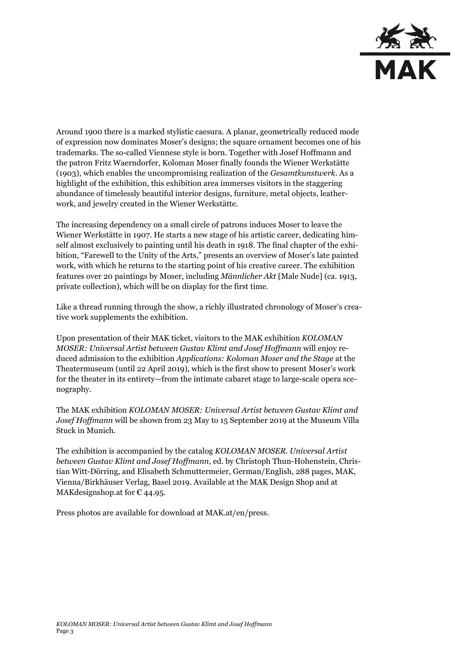

Around 1900 there is a marked stylistic caesura. A planar, geometrically reduced mode of expression now dominates Moser's designs; the square ornament becomes one of his trademarks. The so-called Viennese style is born. Together with Josef Hoffmann and the patron Fritz Waerndorfer, Koloman Moser finally founds the Wiener Werkstätte (1903), which enables the uncompromising realization of the *Gesamtkunstwerk*. As a highlight of the exhibition, this exhibition area immerses visitors in the staggering abundance of timelessly beautiful interior designs, furniture, metal objects, leatherwork, and jewelry created in the Wiener Werkstätte.

The increasing dependency on a small circle of patrons induces Moser to leave the Wiener Werkstätte in 1907. He starts a new stage of his artistic career, dedicating himself almost exclusively to painting until his death in 1918. The final chapter of the exhibition, "Farewell to the Unity of the Arts," presents an overview of Moser's late painted work, with which he returns to the starting point of his creative career. The exhibition features over 20 paintings by Moser, including *Männlicher Akt* [Male Nude] (ca. 1913, private collection), which will be on display for the first time.

Like a thread running through the show, a richly illustrated chronology of Moser's creative work supplements the exhibition.

Upon presentation of their MAK ticket, visitors to the MAK exhibition *KOLOMAN MOSER: Universal Artist between Gustav Klimt and Josef Hoffmann* will enjoy reduced admission to the exhibition *Applications: Koloman Moser and the Stage* at the Theatermuseum (until 22 April 2019), which is the first show to present Moser's work for the theater in its entirety—from the intimate cabaret stage to large-scale opera scenography.

The MAK exhibition *KOLOMAN MOSER: Universal Artist between Gustav Klimt and Josef Hoffmann* will be shown from 23 May to 15 September 2019 at the Museum Villa Stuck in Munich.

The exhibition is accompanied by the catalog *KOLOMAN MOSER. Universal Artist between Gustav Klimt and Josef Hoffmann*, ed. by Christoph Thun-Hohenstein, Christian Witt-Dörring, and Elisabeth Schmuttermeier, German/English, 288 pages, MAK, Vienna/Birkhäuser Verlag, Basel 2019. Available at the MAK Design Shop and at MAK designshop.at for  $\epsilon$  44.95.

Press photos are available for download at MAK.at/en/press.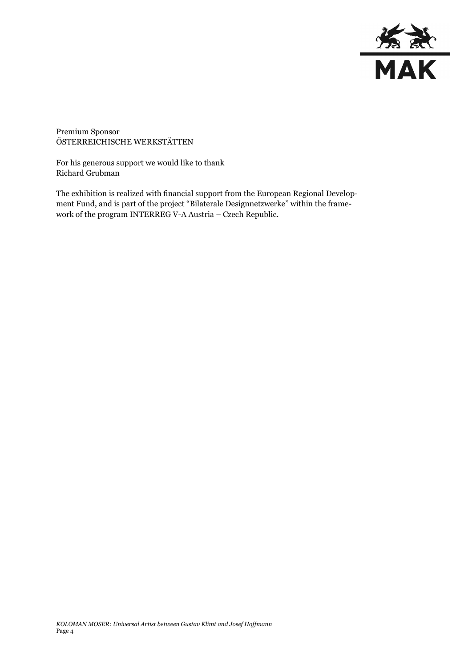

Premium Sponsor ÖSTERREICHISCHE WERKSTÄTTEN

For his generous support we would like to thank Richard Grubman

The exhibition is realized with financial support from the European Regional Development Fund, and is part of the project "Bilaterale Designnetzwerke" within the framework of the program INTERREG V-A Austria – Czech Republic.